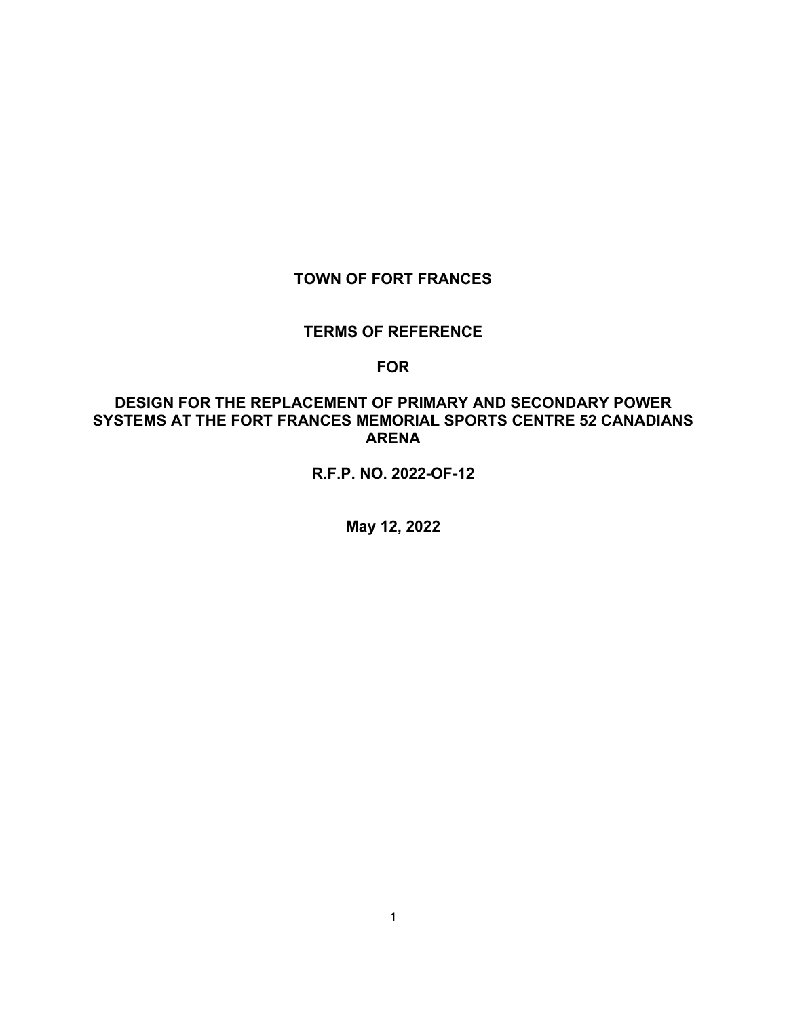# **TOWN OF FORT FRANCES**

# **TERMS OF REFERENCE**

#### **FOR**

# **DESIGN FOR THE REPLACEMENT OF PRIMARY AND SECONDARY POWER SYSTEMS AT THE FORT FRANCES MEMORIAL SPORTS CENTRE 52 CANADIANS ARENA**

**R.F.P. NO. 2022-OF-12**

**May 12, 2022**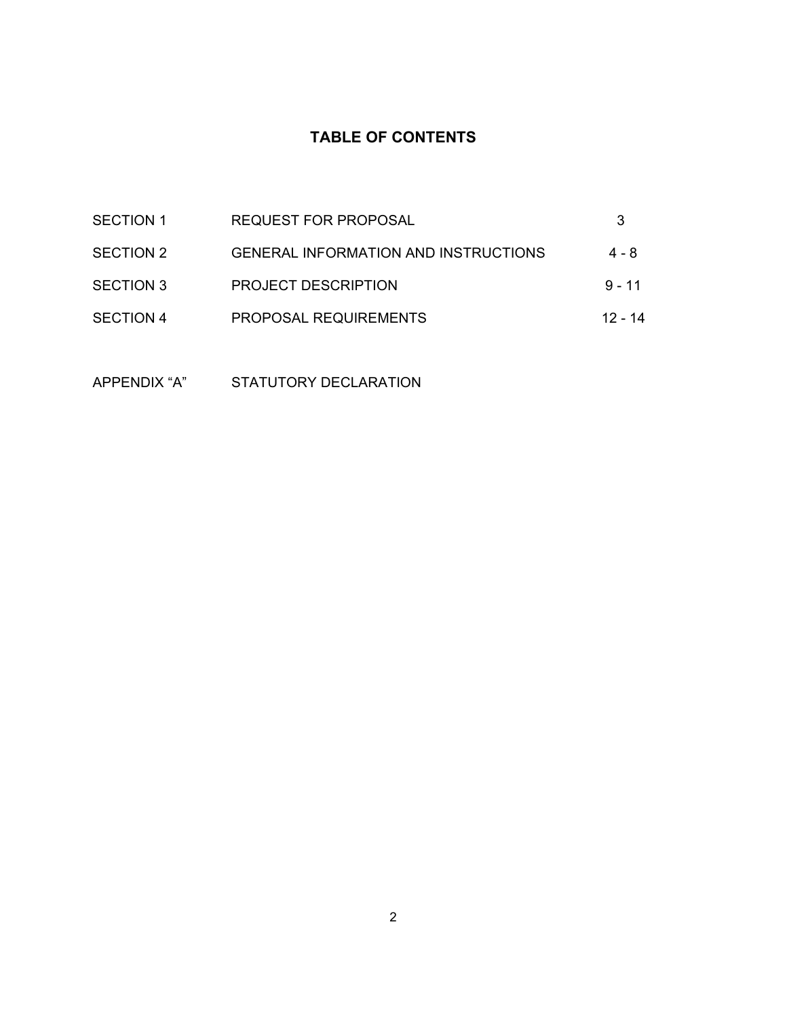# **TABLE OF CONTENTS**

| SECTION 1        | <b>REQUEST FOR PROPOSAL</b>                 |          |
|------------------|---------------------------------------------|----------|
| SECTION 2        | <b>GENERAL INFORMATION AND INSTRUCTIONS</b> | 4 - 8    |
| SECTION 3        | <b>PROJECT DESCRIPTION</b>                  | $9 - 11$ |
| <b>SECTION 4</b> | <b>PROPOSAL REQUIREMENTS</b>                | 12 - 14  |
|                  |                                             |          |

APPENDIX "A" STATUTORY DECLARATION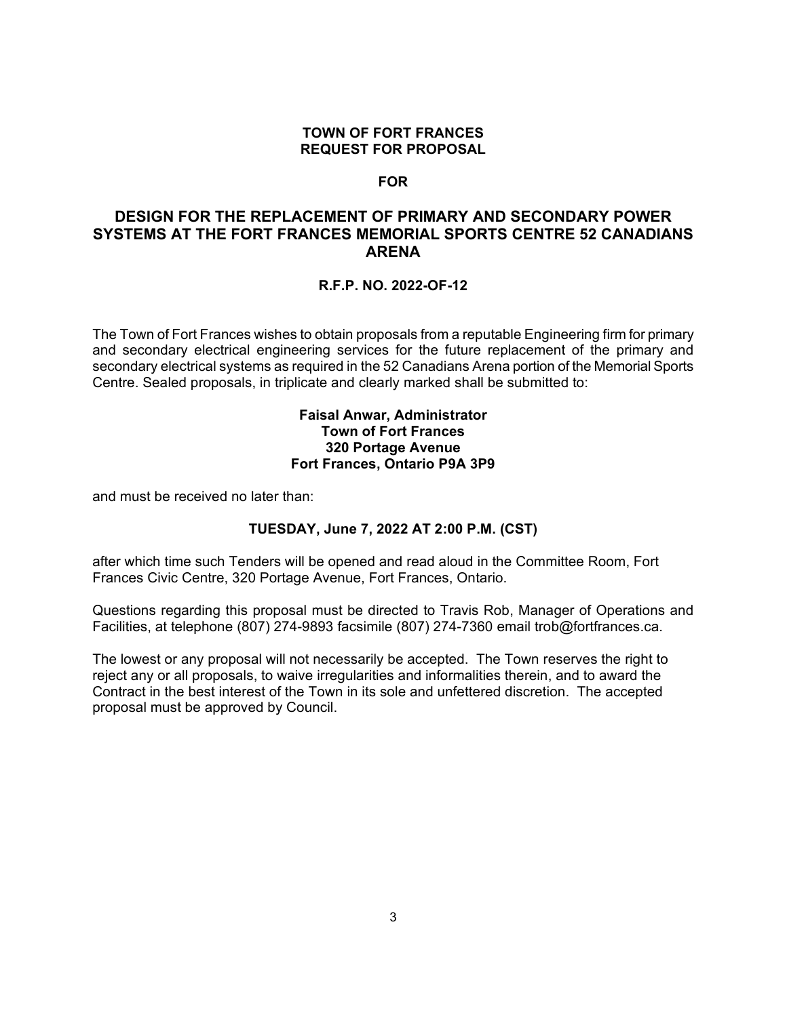#### **TOWN OF FORT FRANCES REQUEST FOR PROPOSAL**

#### **FOR**

# **DESIGN FOR THE REPLACEMENT OF PRIMARY AND SECONDARY POWER SYSTEMS AT THE FORT FRANCES MEMORIAL SPORTS CENTRE 52 CANADIANS ARENA**

#### **R.F.P. NO. 2022-OF-12**

The Town of Fort Frances wishes to obtain proposals from a reputable Engineering firm for primary and secondary electrical engineering services for the future replacement of the primary and secondary electrical systems as required in the 52 Canadians Arena portion of the Memorial Sports Centre. Sealed proposals, in triplicate and clearly marked shall be submitted to:

#### **Faisal Anwar, Administrator Town of Fort Frances 320 Portage Avenue Fort Frances, Ontario P9A 3P9**

and must be received no later than:

#### **TUESDAY, June 7, 2022 AT 2:00 P.M. (CST)**

after which time such Tenders will be opened and read aloud in the Committee Room, Fort Frances Civic Centre, 320 Portage Avenue, Fort Frances, Ontario.

Questions regarding this proposal must be directed to Travis Rob, Manager of Operations and Facilities, at telephone (807) 274-9893 facsimile (807) 274-7360 email trob@fortfrances.ca.

The lowest or any proposal will not necessarily be accepted. The Town reserves the right to reject any or all proposals, to waive irregularities and informalities therein, and to award the Contract in the best interest of the Town in its sole and unfettered discretion. The accepted proposal must be approved by Council.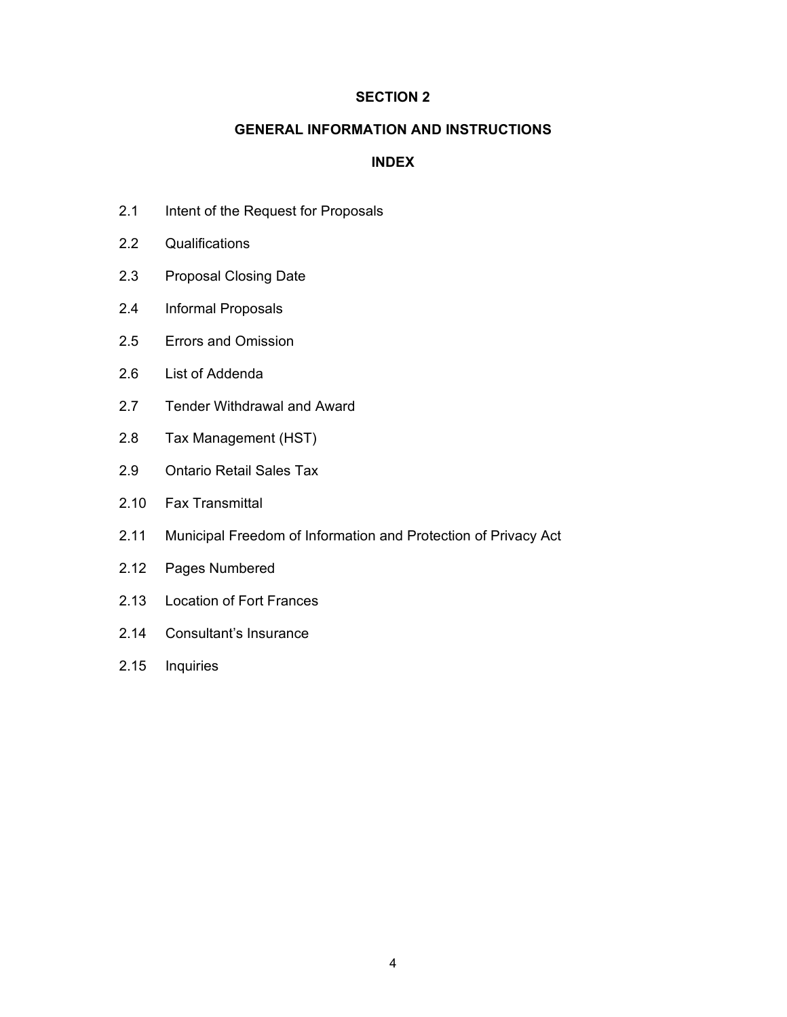### **GENERAL INFORMATION AND INSTRUCTIONS**

# **INDEX**

- 2.1 Intent of the Request for Proposals
- 2.2 Qualifications
- 2.3 Proposal Closing Date
- 2.4 Informal Proposals
- 2.5 Errors and Omission
- 2.6 List of Addenda
- 2.7 Tender Withdrawal and Award
- 2.8 Tax Management (HST)
- 2.9 Ontario Retail Sales Tax
- 2.10 Fax Transmittal
- 2.11 Municipal Freedom of Information and Protection of Privacy Act
- 2.12 Pages Numbered
- 2.13 Location of Fort Frances
- 2.14 Consultant's Insurance
- 2.15 Inquiries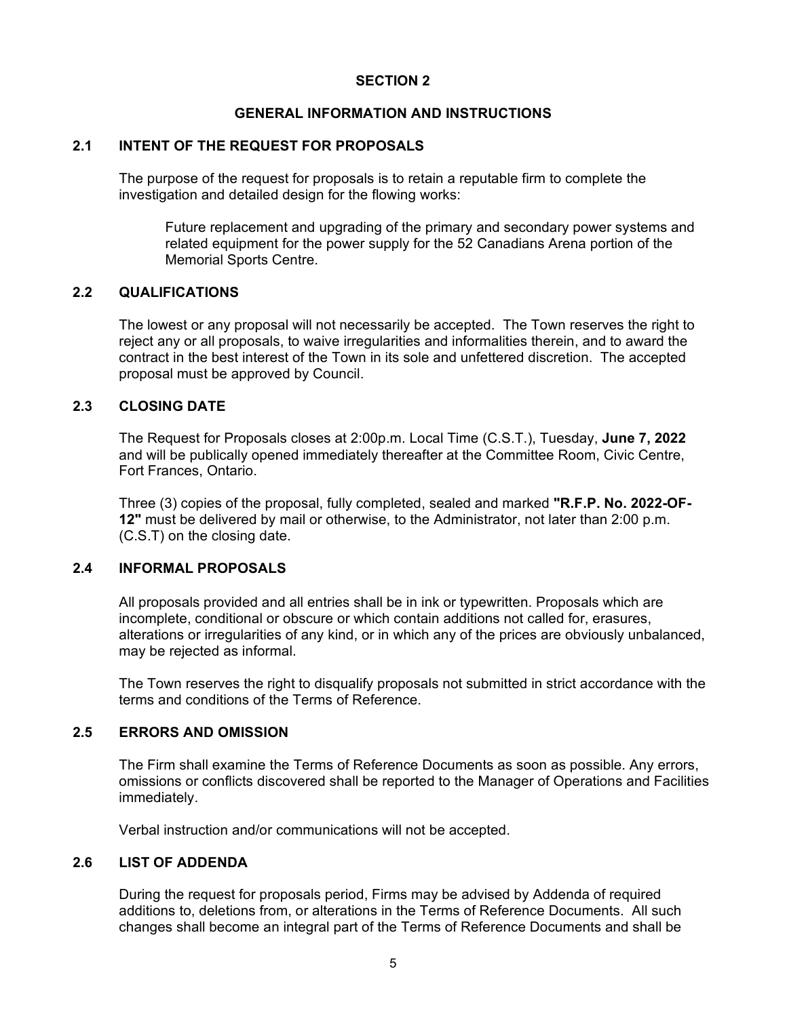## **GENERAL INFORMATION AND INSTRUCTIONS**

#### **2.1 INTENT OF THE REQUEST FOR PROPOSALS**

The purpose of the request for proposals is to retain a reputable firm to complete the investigation and detailed design for the flowing works:

Future replacement and upgrading of the primary and secondary power systems and related equipment for the power supply for the 52 Canadians Arena portion of the Memorial Sports Centre.

## **2.2 QUALIFICATIONS**

The lowest or any proposal will not necessarily be accepted. The Town reserves the right to reject any or all proposals, to waive irregularities and informalities therein, and to award the contract in the best interest of the Town in its sole and unfettered discretion. The accepted proposal must be approved by Council.

## **2.3 CLOSING DATE**

The Request for Proposals closes at 2:00p.m. Local Time (C.S.T.), Tuesday, **June 7, 2022** and will be publically opened immediately thereafter at the Committee Room, Civic Centre, Fort Frances, Ontario.

Three (3) copies of the proposal, fully completed, sealed and marked **"R.F.P. No. 2022-OF-12"** must be delivered by mail or otherwise, to the Administrator, not later than 2:00 p.m. (C.S.T) on the closing date.

# **2.4 INFORMAL PROPOSALS**

All proposals provided and all entries shall be in ink or typewritten. Proposals which are incomplete, conditional or obscure or which contain additions not called for, erasures, alterations or irregularities of any kind, or in which any of the prices are obviously unbalanced, may be rejected as informal.

The Town reserves the right to disqualify proposals not submitted in strict accordance with the terms and conditions of the Terms of Reference.

## **2.5 ERRORS AND OMISSION**

The Firm shall examine the Terms of Reference Documents as soon as possible. Any errors, omissions or conflicts discovered shall be reported to the Manager of Operations and Facilities immediately.

Verbal instruction and/or communications will not be accepted.

# **2.6 LIST OF ADDENDA**

During the request for proposals period, Firms may be advised by Addenda of required additions to, deletions from, or alterations in the Terms of Reference Documents. All such changes shall become an integral part of the Terms of Reference Documents and shall be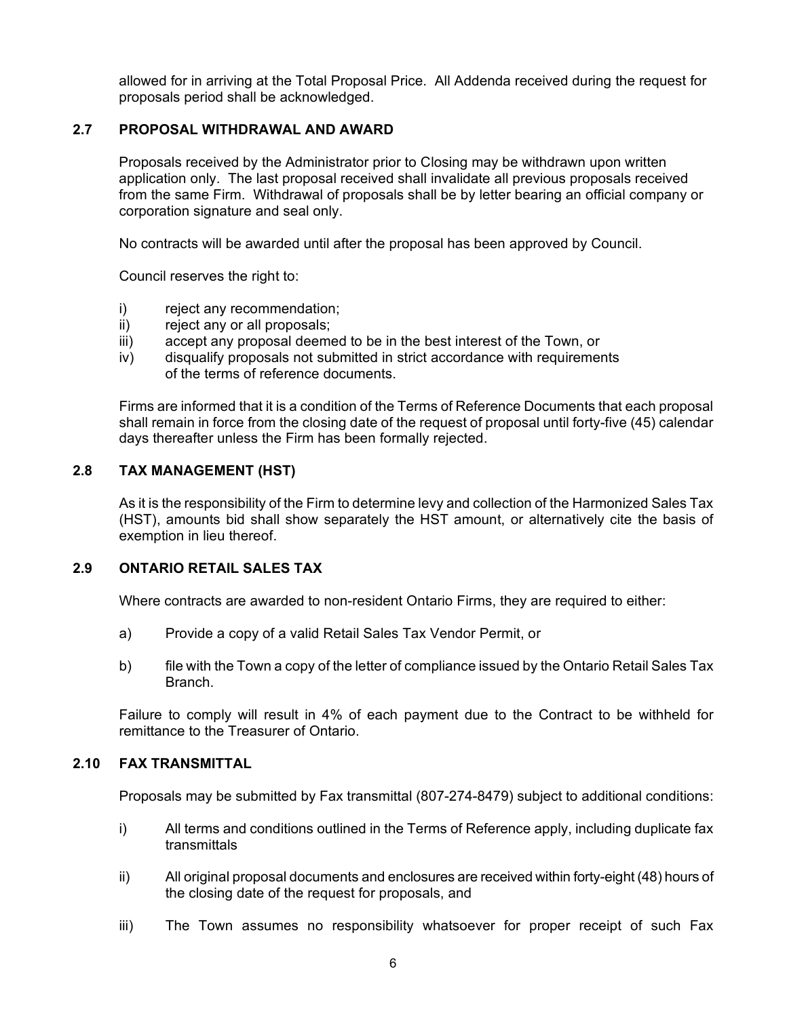allowed for in arriving at the Total Proposal Price. All Addenda received during the request for proposals period shall be acknowledged.

## **2.7 PROPOSAL WITHDRAWAL AND AWARD**

Proposals received by the Administrator prior to Closing may be withdrawn upon written application only. The last proposal received shall invalidate all previous proposals received from the same Firm. Withdrawal of proposals shall be by letter bearing an official company or corporation signature and seal only.

No contracts will be awarded until after the proposal has been approved by Council.

Council reserves the right to:

- i) reject any recommendation;
- ii) reject any or all proposals;
- iii) accept any proposal deemed to be in the best interest of the Town, or
- iv) disqualify proposals not submitted in strict accordance with requirements of the terms of reference documents.

Firms are informed that it is a condition of the Terms of Reference Documents that each proposal shall remain in force from the closing date of the request of proposal until forty-five (45) calendar days thereafter unless the Firm has been formally rejected.

## **2.8 TAX MANAGEMENT (HST)**

As it is the responsibility of the Firm to determine levy and collection of the Harmonized Sales Tax (HST), amounts bid shall show separately the HST amount, or alternatively cite the basis of exemption in lieu thereof.

# **2.9 ONTARIO RETAIL SALES TAX**

Where contracts are awarded to non-resident Ontario Firms, they are required to either:

- a) Provide a copy of a valid Retail Sales Tax Vendor Permit, or
- b) file with the Town a copy of the letter of compliance issued by the Ontario Retail Sales Tax Branch.

Failure to comply will result in 4% of each payment due to the Contract to be withheld for remittance to the Treasurer of Ontario.

#### **2.10 FAX TRANSMITTAL**

Proposals may be submitted by Fax transmittal (807-274-8479) subject to additional conditions:

- i) All terms and conditions outlined in the Terms of Reference apply, including duplicate fax transmittals
- ii) All original proposal documents and enclosures are received within forty-eight (48) hours of the closing date of the request for proposals, and
- iii) The Town assumes no responsibility whatsoever for proper receipt of such Fax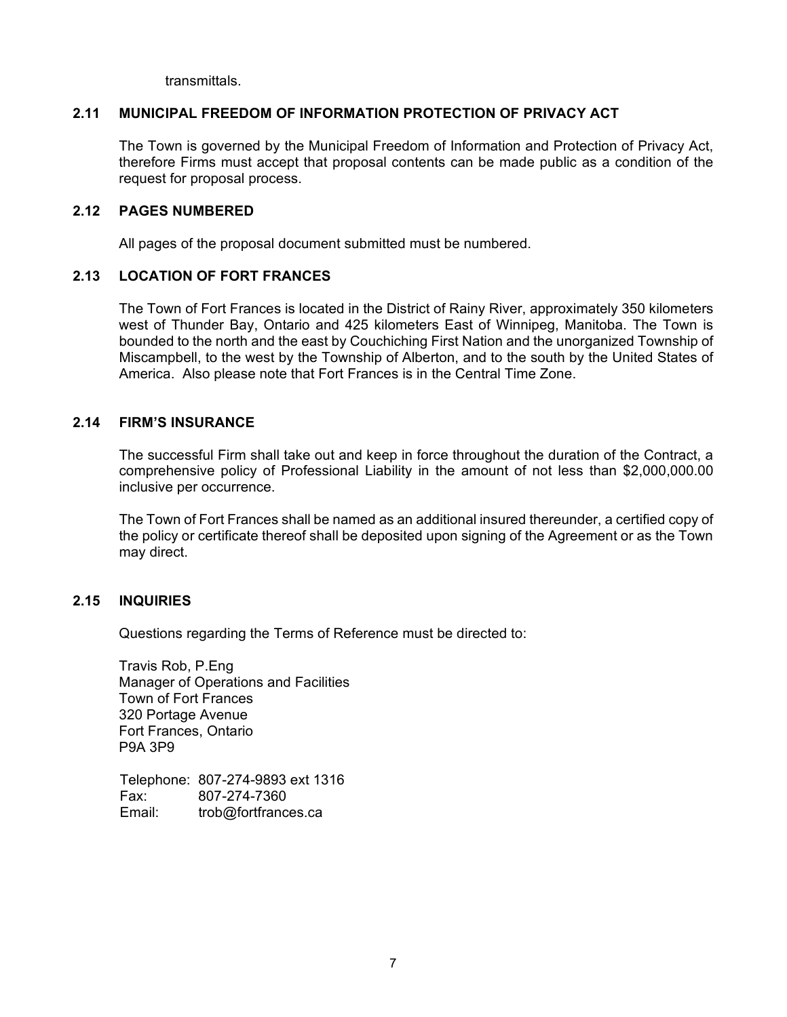**transmittals** 

## **2.11 MUNICIPAL FREEDOM OF INFORMATION PROTECTION OF PRIVACY ACT**

The Town is governed by the Municipal Freedom of Information and Protection of Privacy Act, therefore Firms must accept that proposal contents can be made public as a condition of the request for proposal process.

#### **2.12 PAGES NUMBERED**

All pages of the proposal document submitted must be numbered.

## **2.13 LOCATION OF FORT FRANCES**

The Town of Fort Frances is located in the District of Rainy River, approximately 350 kilometers west of Thunder Bay, Ontario and 425 kilometers East of Winnipeg, Manitoba. The Town is bounded to the north and the east by Couchiching First Nation and the unorganized Township of Miscampbell, to the west by the Township of Alberton, and to the south by the United States of America. Also please note that Fort Frances is in the Central Time Zone.

#### **2.14 FIRM'S INSURANCE**

The successful Firm shall take out and keep in force throughout the duration of the Contract, a comprehensive policy of Professional Liability in the amount of not less than \$2,000,000.00 inclusive per occurrence.

The Town of Fort Frances shall be named as an additional insured thereunder, a certified copy of the policy or certificate thereof shall be deposited upon signing of the Agreement or as the Town may direct.

# **2.15 INQUIRIES**

Questions regarding the Terms of Reference must be directed to:

Travis Rob, P.Eng Manager of Operations and Facilities Town of Fort Frances 320 Portage Avenue Fort Frances, Ontario P9A 3P9

 Telephone: 807-274-9893 ext 1316 Fax: 807-274-7360 Email: trob@fortfrances.ca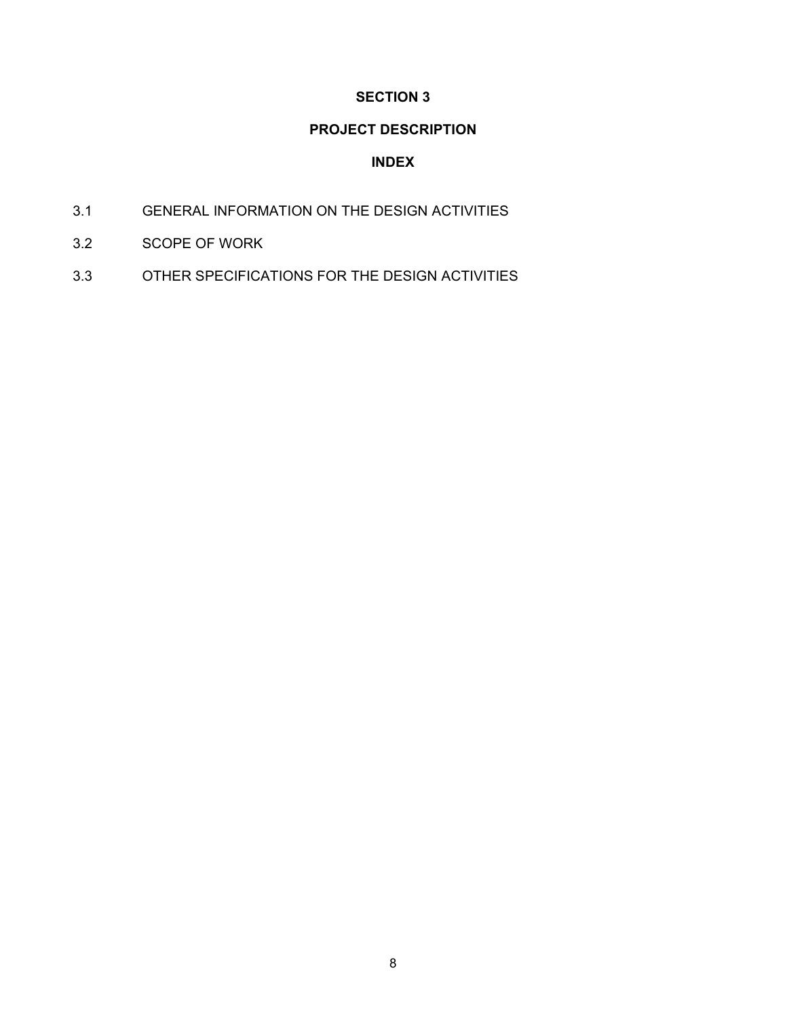# **PROJECT DESCRIPTION**

# **INDEX**

- 3.1 GENERAL INFORMATION ON THE DESIGN ACTIVITIES
- 3.2 SCOPE OF WORK
- 3.3 OTHER SPECIFICATIONS FOR THE DESIGN ACTIVITIES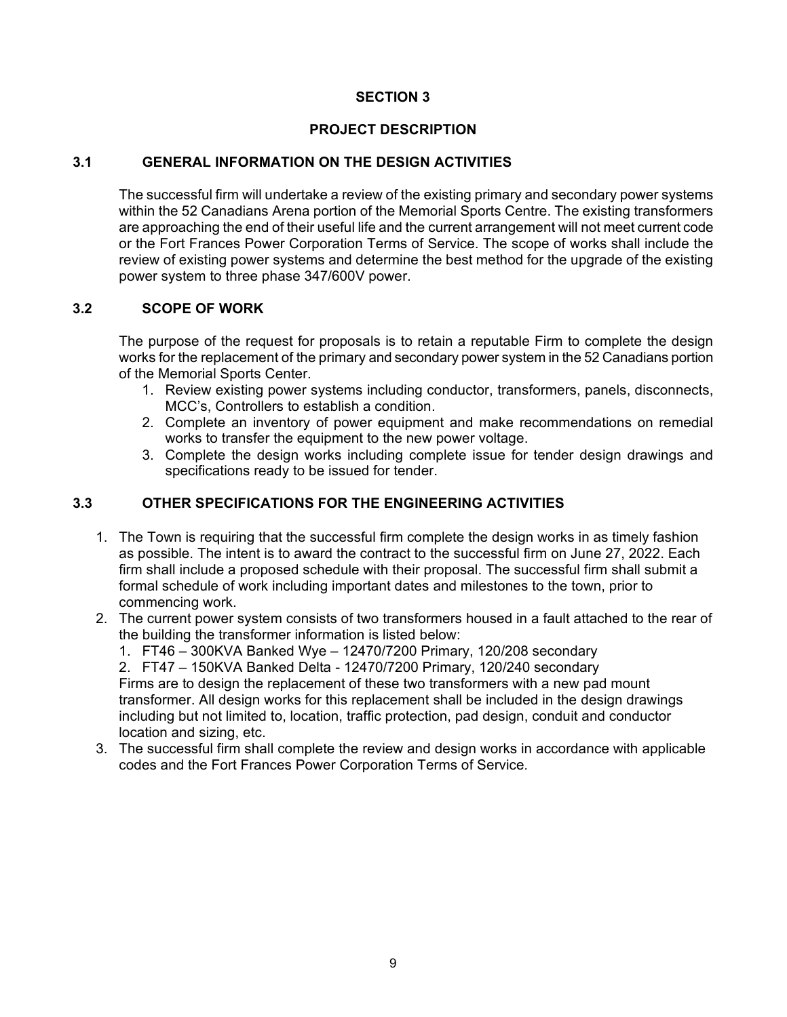## **PROJECT DESCRIPTION**

## **3.1 GENERAL INFORMATION ON THE DESIGN ACTIVITIES**

The successful firm will undertake a review of the existing primary and secondary power systems within the 52 Canadians Arena portion of the Memorial Sports Centre. The existing transformers are approaching the end of their useful life and the current arrangement will not meet current code or the Fort Frances Power Corporation Terms of Service. The scope of works shall include the review of existing power systems and determine the best method for the upgrade of the existing power system to three phase 347/600V power.

#### **3.2 SCOPE OF WORK**

The purpose of the request for proposals is to retain a reputable Firm to complete the design works for the replacement of the primary and secondary power system in the 52 Canadians portion of the Memorial Sports Center.

- 1. Review existing power systems including conductor, transformers, panels, disconnects, MCC's, Controllers to establish a condition.
- 2. Complete an inventory of power equipment and make recommendations on remedial works to transfer the equipment to the new power voltage.
- 3. Complete the design works including complete issue for tender design drawings and specifications ready to be issued for tender.

# **3.3 OTHER SPECIFICATIONS FOR THE ENGINEERING ACTIVITIES**

- 1. The Town is requiring that the successful firm complete the design works in as timely fashion as possible. The intent is to award the contract to the successful firm on June 27, 2022. Each firm shall include a proposed schedule with their proposal. The successful firm shall submit a formal schedule of work including important dates and milestones to the town, prior to commencing work.
- 2. The current power system consists of two transformers housed in a fault attached to the rear of the building the transformer information is listed below:
	- 1. FT46 300KVA Banked Wye 12470/7200 Primary, 120/208 secondary

2. FT47 – 150KVA Banked Delta - 12470/7200 Primary, 120/240 secondary Firms are to design the replacement of these two transformers with a new pad mount transformer. All design works for this replacement shall be included in the design drawings including but not limited to, location, traffic protection, pad design, conduit and conductor location and sizing, etc.

3. The successful firm shall complete the review and design works in accordance with applicable codes and the Fort Frances Power Corporation Terms of Service.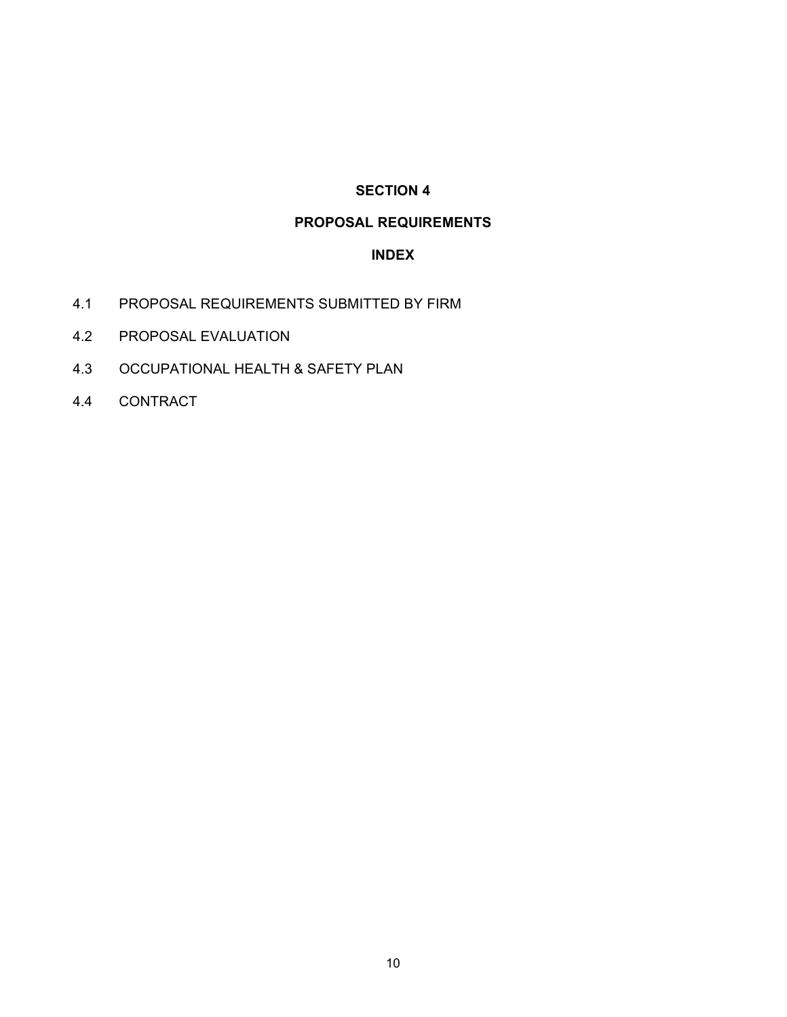# **PROPOSAL REQUIREMENTS**

# **INDEX**

- 4.1 PROPOSAL REQUIREMENTS SUBMITTED BY FIRM
- 4.2 PROPOSAL EVALUATION
- 4.3 OCCUPATIONAL HEALTH & SAFETY PLAN
- 4.4 CONTRACT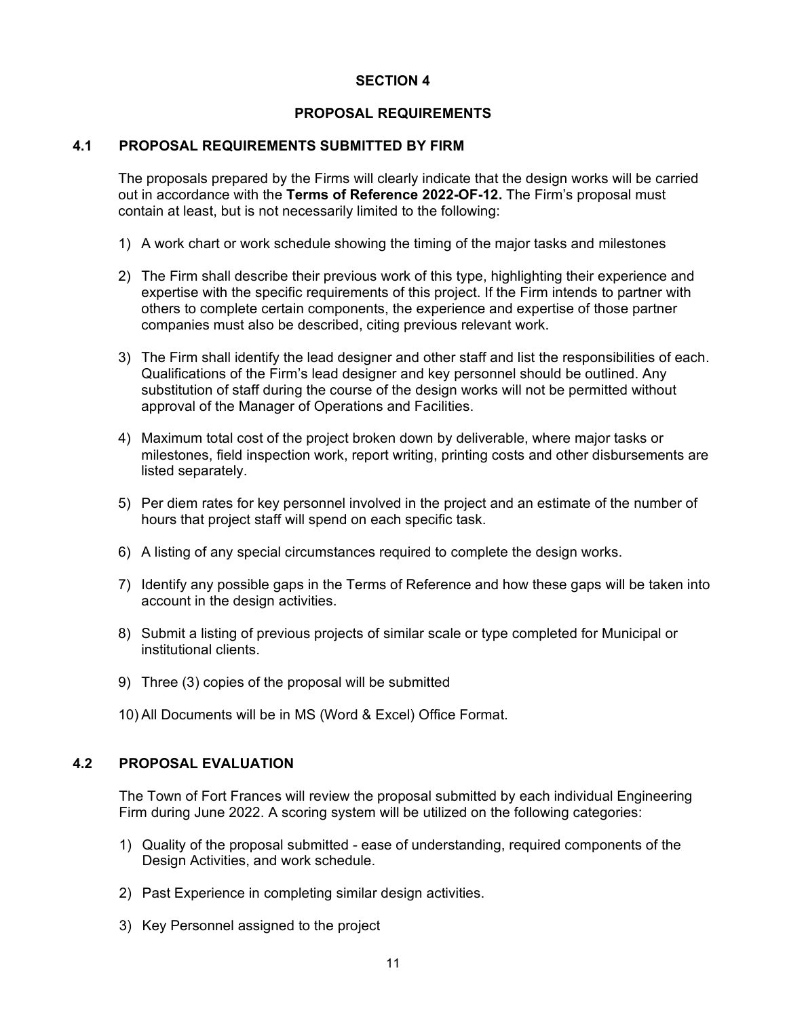## **PROPOSAL REQUIREMENTS**

#### **4.1 PROPOSAL REQUIREMENTS SUBMITTED BY FIRM**

The proposals prepared by the Firms will clearly indicate that the design works will be carried out in accordance with the **Terms of Reference 2022-OF-12.** The Firm's proposal must contain at least, but is not necessarily limited to the following:

- 1) A work chart or work schedule showing the timing of the major tasks and milestones
- 2) The Firm shall describe their previous work of this type, highlighting their experience and expertise with the specific requirements of this project. If the Firm intends to partner with others to complete certain components, the experience and expertise of those partner companies must also be described, citing previous relevant work.
- 3) The Firm shall identify the lead designer and other staff and list the responsibilities of each. Qualifications of the Firm's lead designer and key personnel should be outlined. Any substitution of staff during the course of the design works will not be permitted without approval of the Manager of Operations and Facilities.
- 4) Maximum total cost of the project broken down by deliverable, where major tasks or milestones, field inspection work, report writing, printing costs and other disbursements are listed separately.
- 5) Per diem rates for key personnel involved in the project and an estimate of the number of hours that project staff will spend on each specific task.
- 6) A listing of any special circumstances required to complete the design works.
- 7) Identify any possible gaps in the Terms of Reference and how these gaps will be taken into account in the design activities.
- 8) Submit a listing of previous projects of similar scale or type completed for Municipal or institutional clients.
- 9) Three (3) copies of the proposal will be submitted
- 10) All Documents will be in MS (Word & Excel) Office Format.

# **4.2 PROPOSAL EVALUATION**

The Town of Fort Frances will review the proposal submitted by each individual Engineering Firm during June 2022. A scoring system will be utilized on the following categories:

- 1) Quality of the proposal submitted ease of understanding, required components of the Design Activities, and work schedule.
- 2) Past Experience in completing similar design activities.
- 3) Key Personnel assigned to the project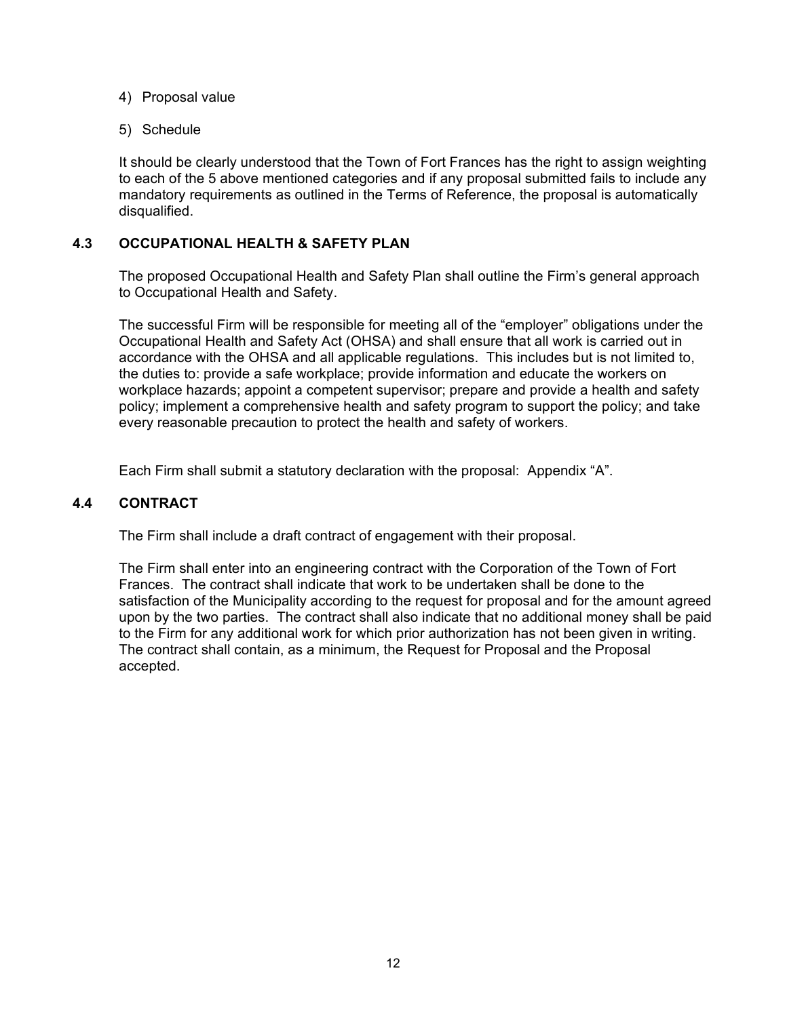- 4) Proposal value
- 5) Schedule

It should be clearly understood that the Town of Fort Frances has the right to assign weighting to each of the 5 above mentioned categories and if any proposal submitted fails to include any mandatory requirements as outlined in the Terms of Reference, the proposal is automatically disqualified.

# **4.3 OCCUPATIONAL HEALTH & SAFETY PLAN**

The proposed Occupational Health and Safety Plan shall outline the Firm's general approach to Occupational Health and Safety.

The successful Firm will be responsible for meeting all of the "employer" obligations under the Occupational Health and Safety Act (OHSA) and shall ensure that all work is carried out in accordance with the OHSA and all applicable regulations. This includes but is not limited to, the duties to: provide a safe workplace; provide information and educate the workers on workplace hazards; appoint a competent supervisor; prepare and provide a health and safety policy; implement a comprehensive health and safety program to support the policy; and take every reasonable precaution to protect the health and safety of workers.

Each Firm shall submit a statutory declaration with the proposal: Appendix "A".

# **4.4 CONTRACT**

The Firm shall include a draft contract of engagement with their proposal.

The Firm shall enter into an engineering contract with the Corporation of the Town of Fort Frances. The contract shall indicate that work to be undertaken shall be done to the satisfaction of the Municipality according to the request for proposal and for the amount agreed upon by the two parties. The contract shall also indicate that no additional money shall be paid to the Firm for any additional work for which prior authorization has not been given in writing. The contract shall contain, as a minimum, the Request for Proposal and the Proposal accepted.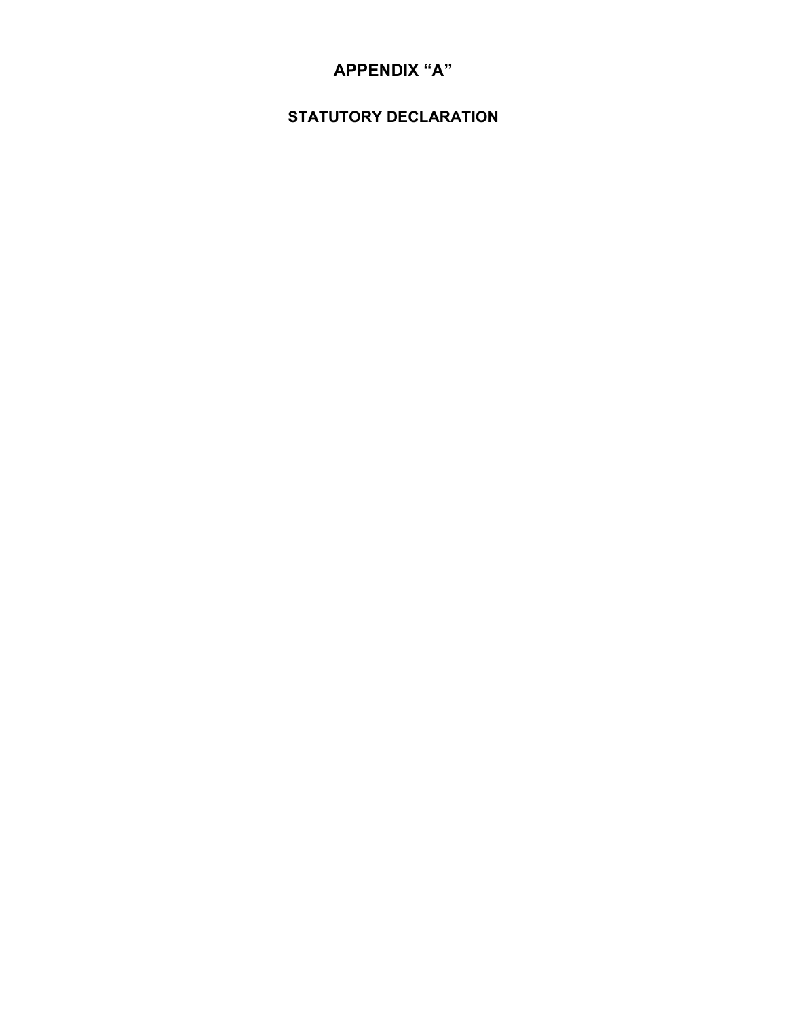# **APPENDIX "A"**

# **STATUTORY DECLARATION**